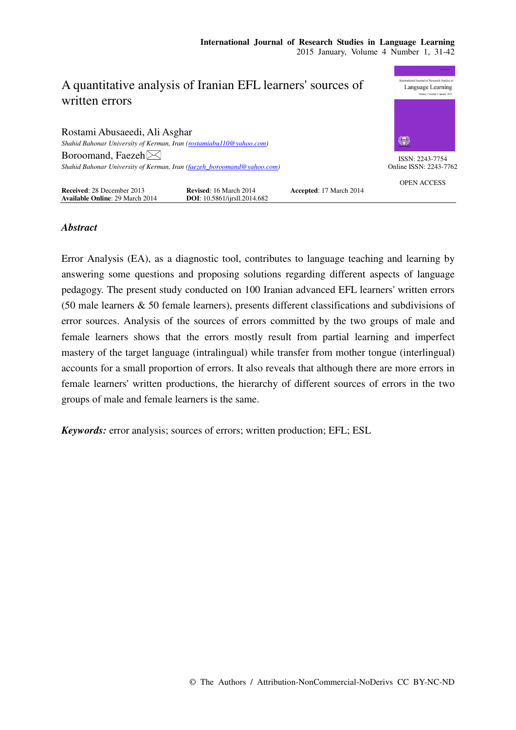| A quantitative analysis of Iranian EFL learners' sources of            |                                      |                         | <b>BANK PEAK PP</b><br>International Journal of Research Studies in<br>Language Learning |
|------------------------------------------------------------------------|--------------------------------------|-------------------------|------------------------------------------------------------------------------------------|
| written errors                                                         |                                      |                         | Volume 1 Number 1 January 2012                                                           |
| Rostami Abusaeedi, Ali Asghar                                          |                                      |                         |                                                                                          |
| Shahid Bahonar University of Kerman, Iran (rostamiabu110@yahoo.com)    |                                      |                         | 纝                                                                                        |
| Boroomand, Faezeh $\boxtimes$                                          |                                      |                         | ISSN: 2243-7754                                                                          |
| Shahid Bahonar University of Kerman, Iran (faezeh boroomand@yahoo.com) |                                      |                         | Online ISSN: 2243-7762                                                                   |
| <b>Received: 28 December 2013</b>                                      | <b>Revised: 16 March 2014</b>        | Accepted: 17 March 2014 | <b>OPEN ACCESS</b>                                                                       |
| <b>Available Online: 29 March 2014</b>                                 | <b>DOI</b> : 10.5861/ijrsll.2014.682 |                         |                                                                                          |

# *Abstract*

Error Analysis (EA), as a diagnostic tool, contributes to language teaching and learning by answering some questions and proposing solutions regarding different aspects of language pedagogy. The present study conducted on 100 Iranian advanced EFL learners' written errors (50 male learners & 50 female learners), presents different classifications and subdivisions of error sources. Analysis of the sources of errors committed by the two groups of male and female learners shows that the errors mostly result from partial learning and imperfect mastery of the target language (intralingual) while transfer from mother tongue (interlingual) accounts for a small proportion of errors. It also reveals that although there are more errors in female learners' written productions, the hierarchy of different sources of errors in the two groups of male and female learners is the same.

*Keywords:* error analysis; sources of errors; written production; EFL; ESL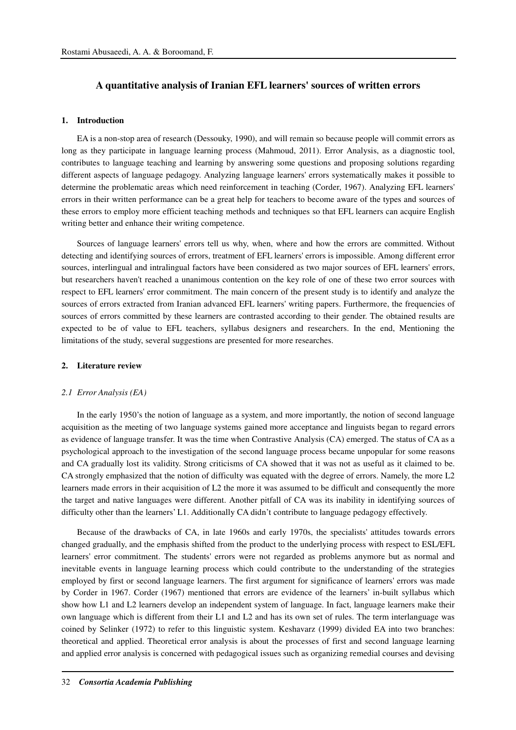## **A quantitative analysis of Iranian EFL learners' sources of written errors**

## **1. Introduction**

EA is a non-stop area of research (Dessouky, 1990), and will remain so because people will commit errors as long as they participate in language learning process (Mahmoud, 2011). Error Analysis, as a diagnostic tool, contributes to language teaching and learning by answering some questions and proposing solutions regarding different aspects of language pedagogy. Analyzing language learners' errors systematically makes it possible to determine the problematic areas which need reinforcement in teaching (Corder, 1967). Analyzing EFL learners' errors in their written performance can be a great help for teachers to become aware of the types and sources of these errors to employ more efficient teaching methods and techniques so that EFL learners can acquire English writing better and enhance their writing competence.

Sources of language learners' errors tell us why, when, where and how the errors are committed. Without detecting and identifying sources of errors, treatment of EFL learners' errors is impossible. Among different error sources, interlingual and intralingual factors have been considered as two major sources of EFL learners' errors, but researchers haven't reached a unanimous contention on the key role of one of these two error sources with respect to EFL learners' error commitment. The main concern of the present study is to identify and analyze the sources of errors extracted from Iranian advanced EFL learners' writing papers. Furthermore, the frequencies of sources of errors committed by these learners are contrasted according to their gender. The obtained results are expected to be of value to EFL teachers, syllabus designers and researchers. In the end, Mentioning the limitations of the study, several suggestions are presented for more researches.

## **2. Literature review**

#### *2.1 Error Analysis (EA)*

In the early 1950's the notion of language as a system, and more importantly, the notion of second language acquisition as the meeting of two language systems gained more acceptance and linguists began to regard errors as evidence of language transfer. It was the time when Contrastive Analysis (CA) emerged. The status of CA as a psychological approach to the investigation of the second language process became unpopular for some reasons and CA gradually lost its validity. Strong criticisms of CA showed that it was not as useful as it claimed to be. CA strongly emphasized that the notion of difficulty was equated with the degree of errors. Namely, the more L2 learners made errors in their acquisition of L2 the more it was assumed to be difficult and consequently the more the target and native languages were different. Another pitfall of CA was its inability in identifying sources of difficulty other than the learners' L1. Additionally CA didn't contribute to language pedagogy effectively.

Because of the drawbacks of CA, in late 1960s and early 1970s, the specialists' attitudes towards errors changed gradually, and the emphasis shifted from the product to the underlying process with respect to ESL/EFL learners' error commitment. The students' errors were not regarded as problems anymore but as normal and inevitable events in language learning process which could contribute to the understanding of the strategies employed by first or second language learners. The first argument for significance of learners' errors was made by Corder in 1967. Corder (1967) mentioned that errors are evidence of the learners' in-built syllabus which show how L1 and L2 learners develop an independent system of language. In fact, language learners make their own language which is different from their L1 and L2 and has its own set of rules. The term interlanguage was coined by Selinker (1972) to refer to this linguistic system. Keshavarz (1999) divided EA into two branches: theoretical and applied. Theoretical error analysis is about the processes of first and second language learning and applied error analysis is concerned with pedagogical issues such as organizing remedial courses and devising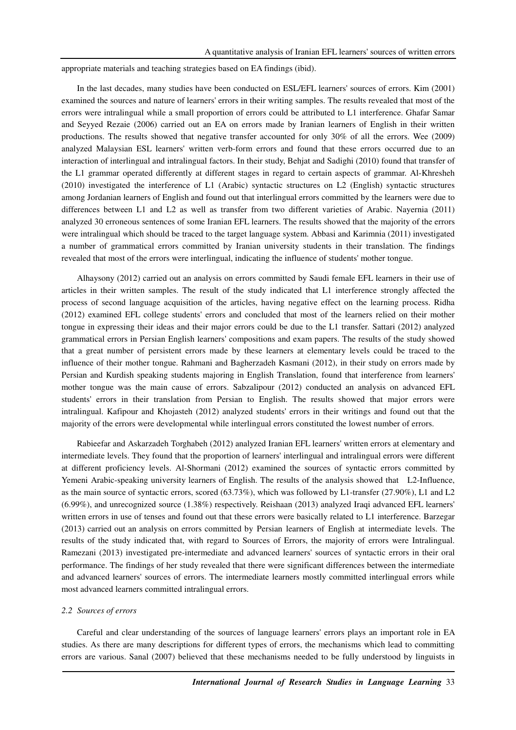appropriate materials and teaching strategies based on EA findings (ibid).

In the last decades, many studies have been conducted on ESL/EFL learners' sources of errors. Kim (2001) examined the sources and nature of learners' errors in their writing samples. The results revealed that most of the errors were intralingual while a small proportion of errors could be attributed to L1 interference. Ghafar Samar and Seyyed Rezaie (2006) carried out an EA on errors made by Iranian learners of English in their written productions. The results showed that negative transfer accounted for only 30% of all the errors. Wee (2009) analyzed Malaysian ESL learners' written verb-form errors and found that these errors occurred due to an interaction of interlingual and intralingual factors. In their study, Behjat and Sadighi (2010) found that transfer of the L1 grammar operated differently at different stages in regard to certain aspects of grammar. Al-Khresheh (2010) investigated the interference of L1 (Arabic) syntactic structures on L2 (English) syntactic structures among Jordanian learners of English and found out that interlingual errors committed by the learners were due to differences between L1 and L2 as well as transfer from two different varieties of Arabic. Nayernia (2011) analyzed 30 erroneous sentences of some Iranian EFL learners. The results showed that the majority of the errors were intralingual which should be traced to the target language system. Abbasi and Karimnia (2011) investigated a number of grammatical errors committed by Iranian university students in their translation. The findings revealed that most of the errors were interlingual, indicating the influence of students' mother tongue.

Alhaysony (2012) carried out an analysis on errors committed by Saudi female EFL learners in their use of articles in their written samples. The result of the study indicated that L1 interference strongly affected the process of second language acquisition of the articles, having negative effect on the learning process. Ridha (2012) examined EFL college students' errors and concluded that most of the learners relied on their mother tongue in expressing their ideas and their major errors could be due to the L1 transfer. Sattari (2012) analyzed grammatical errors in Persian English learners' compositions and exam papers. The results of the study showed that a great number of persistent errors made by these learners at elementary levels could be traced to the influence of their mother tongue. Rahmani and Bagherzadeh Kasmani (2012), in their study on errors made by Persian and Kurdish speaking students majoring in English Translation, found that interference from learners' mother tongue was the main cause of errors. Sabzalipour (2012) conducted an analysis on advanced EFL students' errors in their translation from Persian to English. The results showed that major errors were intralingual. Kafipour and Khojasteh (2012) analyzed students' errors in their writings and found out that the majority of the errors were developmental while interlingual errors constituted the lowest number of errors.

Rabieefar and Askarzadeh Torghabeh (2012) analyzed Iranian EFL learners' written errors at elementary and intermediate levels. They found that the proportion of learners' interlingual and intralingual errors were different at different proficiency levels. Al-Shormani (2012) examined the sources of syntactic errors committed by Yemeni Arabic-speaking university learners of English. The results of the analysis showed that L2-Influence, as the main source of syntactic errors, scored (63.73%), which was followed by L1-transfer (27.90%), L1 and L2 (6.99%), and unrecognized source (1.38%) respectively. Reishaan (2013) analyzed Iraqi advanced EFL learners' written errors in use of tenses and found out that these errors were basically related to L1 interference. Barzegar (2013) carried out an analysis on errors committed by Persian learners of English at intermediate levels. The results of the study indicated that, with regard to Sources of Errors, the majority of errors were Intralingual. Ramezani (2013) investigated pre-intermediate and advanced learners' sources of syntactic errors in their oral performance. The findings of her study revealed that there were significant differences between the intermediate and advanced learners' sources of errors. The intermediate learners mostly committed interlingual errors while most advanced learners committed intralingual errors.

### *2.2 Sources of errors*

Careful and clear understanding of the sources of language learners' errors plays an important role in EA studies. As there are many descriptions for different types of errors, the mechanisms which lead to committing errors are various. Sanal (2007) believed that these mechanisms needed to be fully understood by linguists in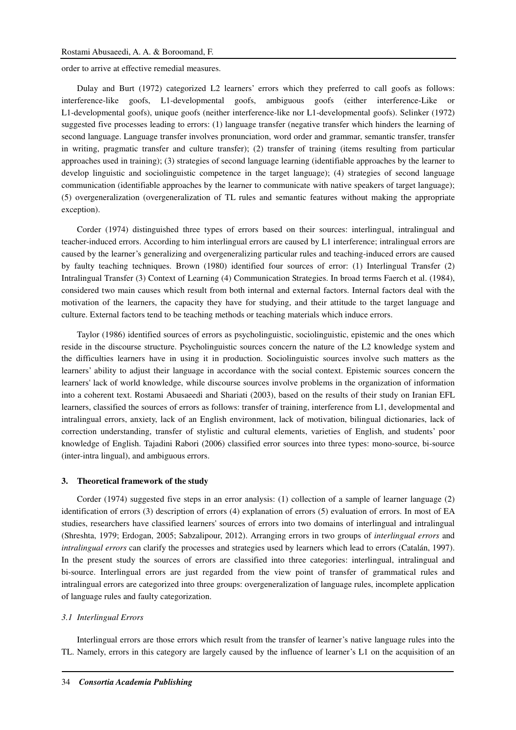## Rostami Abusaeedi, A. A. & Boroomand, F.

order to arrive at effective remedial measures.

Dulay and Burt (1972) categorized L2 learners' errors which they preferred to call goofs as follows: interference-like goofs, L1-developmental goofs, ambiguous goofs (either interference-Like or L1-developmental goofs), unique goofs (neither interference-like nor L1-developmental goofs). Selinker (1972) suggested five processes leading to errors: (1) language transfer (negative transfer which hinders the learning of second language. Language transfer involves pronunciation, word order and grammar, semantic transfer, transfer in writing, pragmatic transfer and culture transfer); (2) transfer of training (items resulting from particular approaches used in training); (3) strategies of second language learning (identifiable approaches by the learner to develop linguistic and sociolinguistic competence in the target language); (4) strategies of second language communication (identifiable approaches by the learner to communicate with native speakers of target language); (5) overgeneralization (overgeneralization of TL rules and semantic features without making the appropriate exception).

Corder (1974) distinguished three types of errors based on their sources: interlingual, intralingual and teacher-induced errors. According to him interlingual errors are caused by L1 interference; intralingual errors are caused by the learner's generalizing and overgeneralizing particular rules and teaching-induced errors are caused by faulty teaching techniques. Brown (1980) identified four sources of error: (1) Interlingual Transfer (2) Intralingual Transfer (3) Context of Learning (4) Communication Strategies. In broad terms Faerch et al. (1984), considered two main causes which result from both internal and external factors. Internal factors deal with the motivation of the learners, the capacity they have for studying, and their attitude to the target language and culture. External factors tend to be teaching methods or teaching materials which induce errors.

Taylor (1986) identified sources of errors as psycholinguistic, sociolinguistic, epistemic and the ones which reside in the discourse structure. Psycholinguistic sources concern the nature of the L2 knowledge system and the difficulties learners have in using it in production. Sociolinguistic sources involve such matters as the learners' ability to adjust their language in accordance with the social context. Epistemic sources concern the learners' lack of world knowledge, while discourse sources involve problems in the organization of information into a coherent text. Rostami Abusaeedi and Shariati (2003), based on the results of their study on Iranian EFL learners, classified the sources of errors as follows: transfer of training, interference from L1, developmental and intralingual errors, anxiety, lack of an English environment, lack of motivation, bilingual dictionaries, lack of correction understanding, transfer of stylistic and cultural elements, varieties of English, and students' poor knowledge of English. Tajadini Rabori (2006) classified error sources into three types: mono-source, bi-source (inter-intra lingual), and ambiguous errors.

#### **3. Theoretical framework of the study**

Corder (1974) suggested five steps in an error analysis: (1) collection of a sample of learner language (2) identification of errors (3) description of errors (4) explanation of errors (5) evaluation of errors. In most of EA studies, researchers have classified learners' sources of errors into two domains of interlingual and intralingual (Shreshta, 1979; Erdogan, 2005; Sabzalipour, 2012). Arranging errors in two groups of *interlingual errors* and *intralingual errors* can clarify the processes and strategies used by learners which lead to errors (Catalán, 1997). In the present study the sources of errors are classified into three categories: interlingual, intralingual and bi-source. Interlingual errors are just regarded from the view point of transfer of grammatical rules and intralingual errors are categorized into three groups: overgeneralization of language rules, incomplete application of language rules and faulty categorization.

#### *3.1 Interlingual Errors*

Interlingual errors are those errors which result from the transfer of learner's native language rules into the TL. Namely, errors in this category are largely caused by the influence of learner's L1 on the acquisition of an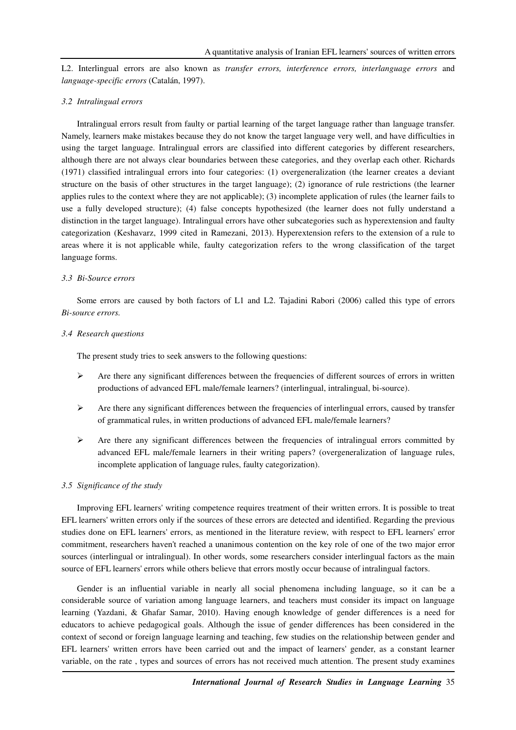L2. Interlingual errors are also known as *transfer errors, interference errors, interlanguage errors* and *language-specific errors* (Catalán, 1997).

### *3.2 Intralingual errors*

Intralingual errors result from faulty or partial learning of the target language rather than language transfer. Namely, learners make mistakes because they do not know the target language very well, and have difficulties in using the target language. Intralingual errors are classified into different categories by different researchers, although there are not always clear boundaries between these categories, and they overlap each other. Richards (1971) classified intralingual errors into four categories: (1) overgeneralization (the learner creates a deviant structure on the basis of other structures in the target language); (2) ignorance of rule restrictions (the learner applies rules to the context where they are not applicable); (3) incomplete application of rules (the learner fails to use a fully developed structure); (4) false concepts hypothesized (the learner does not fully understand a distinction in the target language). Intralingual errors have other subcategories such as hyperextension and faulty categorization (Keshavarz, 1999 cited in Ramezani, 2013). Hyperextension refers to the extension of a rule to areas where it is not applicable while, faulty categorization refers to the wrong classification of the target language forms.

#### *3.3 Bi-Source errors*

Some errors are caused by both factors of L1 and L2. Tajadini Rabori (2006) called this type of errors *Bi-source errors.*

#### *3.4 Research questions*

The present study tries to seek answers to the following questions:

- $\triangleright$  Are there any significant differences between the frequencies of different sources of errors in written productions of advanced EFL male/female learners? (interlingual, intralingual, bi-source).
- $\triangleright$  Are there any significant differences between the frequencies of interlingual errors, caused by transfer of grammatical rules, in written productions of advanced EFL male/female learners?
- $\triangleright$  Are there any significant differences between the frequencies of intralingual errors committed by advanced EFL male/female learners in their writing papers? (overgeneralization of language rules, incomplete application of language rules, faulty categorization).

#### *3.5 Significance of the study*

Improving EFL learners' writing competence requires treatment of their written errors. It is possible to treat EFL learners' written errors only if the sources of these errors are detected and identified. Regarding the previous studies done on EFL learners' errors, as mentioned in the literature review, with respect to EFL learners' error commitment, researchers haven't reached a unanimous contention on the key role of one of the two major error sources (interlingual or intralingual). In other words, some researchers consider interlingual factors as the main source of EFL learners' errors while others believe that errors mostly occur because of intralingual factors.

Gender is an influential variable in nearly all social phenomena including language, so it can be a considerable source of variation among language learners, and teachers must consider its impact on language learning (Yazdani, & Ghafar Samar, 2010). Having enough knowledge of gender differences is a need for educators to achieve pedagogical goals. Although the issue of gender differences has been considered in the context of second or foreign language learning and teaching, few studies on the relationship between gender and EFL learners' written errors have been carried out and the impact of learners' gender, as a constant learner variable, on the rate , types and sources of errors has not received much attention. The present study examines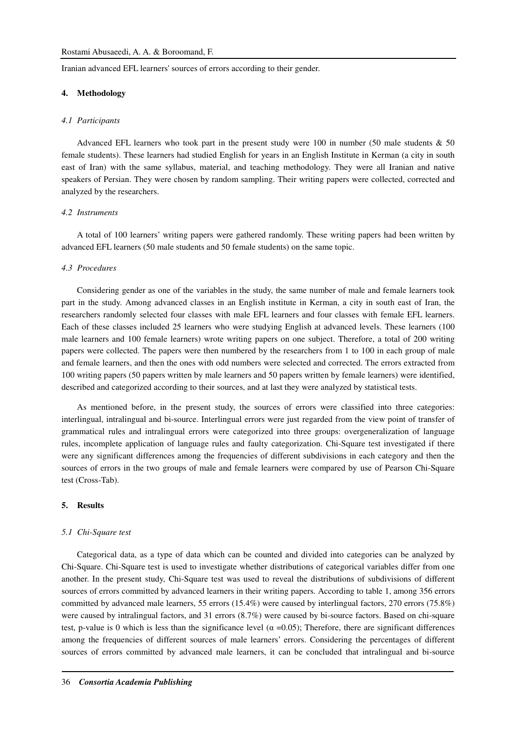Iranian advanced EFL learners' sources of errors according to their gender.

### **4. Methodology**

#### *4.1 Participants*

Advanced EFL learners who took part in the present study were 100 in number (50 male students  $\&$  50 female students). These learners had studied English for years in an English Institute in Kerman (a city in south east of Iran) with the same syllabus, material, and teaching methodology. They were all Iranian and native speakers of Persian. They were chosen by random sampling. Their writing papers were collected, corrected and analyzed by the researchers.

### *4.2 Instruments*

A total of 100 learners' writing papers were gathered randomly. These writing papers had been written by advanced EFL learners (50 male students and 50 female students) on the same topic.

#### *4.3 Procedures*

Considering gender as one of the variables in the study, the same number of male and female learners took part in the study. Among advanced classes in an English institute in Kerman, a city in south east of Iran, the researchers randomly selected four classes with male EFL learners and four classes with female EFL learners. Each of these classes included 25 learners who were studying English at advanced levels. These learners (100 male learners and 100 female learners) wrote writing papers on one subject. Therefore, a total of 200 writing papers were collected. The papers were then numbered by the researchers from 1 to 100 in each group of male and female learners, and then the ones with odd numbers were selected and corrected. The errors extracted from 100 writing papers (50 papers written by male learners and 50 papers written by female learners) were identified, described and categorized according to their sources, and at last they were analyzed by statistical tests.

As mentioned before, in the present study, the sources of errors were classified into three categories: interlingual, intralingual and bi-source. Interlingual errors were just regarded from the view point of transfer of grammatical rules and intralingual errors were categorized into three groups: overgeneralization of language rules, incomplete application of language rules and faulty categorization. Chi-Square test investigated if there were any significant differences among the frequencies of different subdivisions in each category and then the sources of errors in the two groups of male and female learners were compared by use of Pearson Chi-Square test (Cross-Tab).

#### **5. Results**

#### *5.1 Chi-Square test*

Categorical data, as a type of data which can be counted and divided into categories can be analyzed by Chi-Square. Chi-Square test is used to investigate whether distributions of categorical variables differ from one another. In the present study, Chi-Square test was used to reveal the distributions of subdivisions of different sources of errors committed by advanced learners in their writing papers. According to table 1, among 356 errors committed by advanced male learners, 55 errors (15.4%) were caused by interlingual factors, 270 errors (75.8%) were caused by intralingual factors, and 31 errors (8.7%) were caused by bi-source factors. Based on chi-square test, p-value is 0 which is less than the significance level ( $\alpha = 0.05$ ); Therefore, there are significant differences among the frequencies of different sources of male learners' errors. Considering the percentages of different sources of errors committed by advanced male learners, it can be concluded that intralingual and bi-source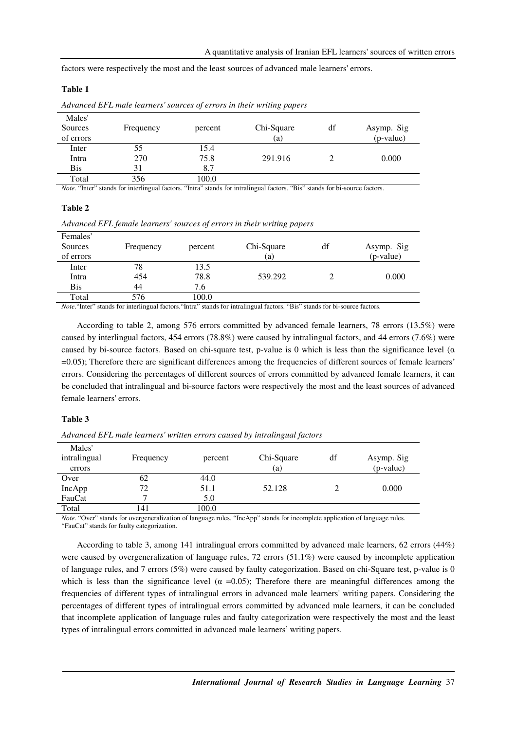factors were respectively the most and the least sources of advanced male learners' errors.

## **Table 1**

| Males'<br>Sources<br>of errors | Frequency | percent | Chi-Square<br>(a) | df | Asymp. Sig<br>(p-value) |
|--------------------------------|-----------|---------|-------------------|----|-------------------------|
| Inter                          | 55        | 15.4    |                   |    |                         |
| Intra                          | 270       | 75.8    | 291.916           |    | 0.000                   |
| <b>Bis</b>                     | 31        | 8.7     |                   |    |                         |
| Total                          | 356       | 100.0   |                   |    |                         |

*Advanced EFL male learners' sources of errors in their writing papers*

*Note*. "Inter" stands for interlingual factors. "Intra" stands for intralingual factors. "Bis" stands for bi-source factors.

### **Table 2**

| Advanced EFL female learners' sources of errors in their writing papers |  |  |  |
|-------------------------------------------------------------------------|--|--|--|
|                                                                         |  |  |  |

| Females'<br>Sources<br>of errors | Frequency | percent | Chi-Square<br>(a)                                                                                                                                                                                                                                                                                                                                                                                                                                                                                                                            | df | Asymp. Sig<br>(p-value) |
|----------------------------------|-----------|---------|----------------------------------------------------------------------------------------------------------------------------------------------------------------------------------------------------------------------------------------------------------------------------------------------------------------------------------------------------------------------------------------------------------------------------------------------------------------------------------------------------------------------------------------------|----|-------------------------|
| Inter                            | 78        | 13.5    |                                                                                                                                                                                                                                                                                                                                                                                                                                                                                                                                              |    |                         |
| Intra                            | 454       | 78.8    | 539.292                                                                                                                                                                                                                                                                                                                                                                                                                                                                                                                                      |    | 0.000                   |
| <b>Bis</b>                       | 44        | 7.6     |                                                                                                                                                                                                                                                                                                                                                                                                                                                                                                                                              |    |                         |
| Total                            | 576       | 100.0   |                                                                                                                                                                                                                                                                                                                                                                                                                                                                                                                                              |    |                         |
|                                  |           |         | $\mathcal{M} \times \mathcal{M} \times \mathcal{M} \times \mathcal{M} \times \mathcal{M} \times \mathcal{M} \times \mathcal{M} \times \mathcal{M} \times \mathcal{M} \times \mathcal{M} \times \mathcal{M} \times \mathcal{M} \times \mathcal{M} \times \mathcal{M} \times \mathcal{M} \times \mathcal{M} \times \mathcal{M} \times \mathcal{M} \times \mathcal{M} \times \mathcal{M} \times \mathcal{M} \times \mathcal{M} \times \mathcal{M} \times \mathcal{M} \times \mathcal{M} \times \mathcal{M} \times \mathcal{M} \times \mathcal{$ |    |                         |

*Note*."Inter" stands for interlingual factors."Intra" stands for intralingual factors. "Bis" stands for bi-source factors.

According to table 2, among 576 errors committed by advanced female learners, 78 errors (13.5%) were caused by interlingual factors, 454 errors (78.8%) were caused by intralingual factors, and 44 errors (7.6%) were caused by bi-source factors. Based on chi-square test, p-value is 0 which is less than the significance level ( $\alpha$ ) =0.05); Therefore there are significant differences among the frequencies of different sources of female learners' errors. Considering the percentages of different sources of errors committed by advanced female learners, it can be concluded that intralingual and bi-source factors were respectively the most and the least sources of advanced female learners' errors.

### **Table 3**

| Advanced EFL male learners' written errors caused by intralingual factors |  |  |  |  |
|---------------------------------------------------------------------------|--|--|--|--|
|---------------------------------------------------------------------------|--|--|--|--|

| Males'       |           |               |                                |          |               |
|--------------|-----------|---------------|--------------------------------|----------|---------------|
| intralingual | Frequency | percent       | Chi-Square                     | df       | Asymp. Sig    |
| errors       |           |               | (a)                            |          | (p-value)     |
| Over         | 62        | 44.0          |                                |          |               |
| IncApp       | 72        | 51.1          | 52.128                         |          | 0.000         |
| FauCat       |           | 5.0           |                                |          |               |
| Total        | 141       | 100.0         |                                |          |               |
|              | $\cdots$  | $\sim$ $\sim$ | $\sim$ $\sim$ $\sim$<br>$\sim$ | $\cdots$ | $\sim$ $\sim$ |

*Note*. "Over" stands for overgeneralization of language rules. "IncApp" stands for incomplete application of language rules. "FauCat" stands for faulty categorization.

According to table 3, among 141 intralingual errors committed by advanced male learners, 62 errors (44%) were caused by overgeneralization of language rules, 72 errors (51.1%) were caused by incomplete application of language rules, and 7 errors (5%) were caused by faulty categorization. Based on chi-Square test, p-value is 0 which is less than the significance level ( $\alpha$  =0.05); Therefore there are meaningful differences among the frequencies of different types of intralingual errors in advanced male learners' writing papers. Considering the percentages of different types of intralingual errors committed by advanced male learners, it can be concluded that incomplete application of language rules and faulty categorization were respectively the most and the least types of intralingual errors committed in advanced male learners' writing papers.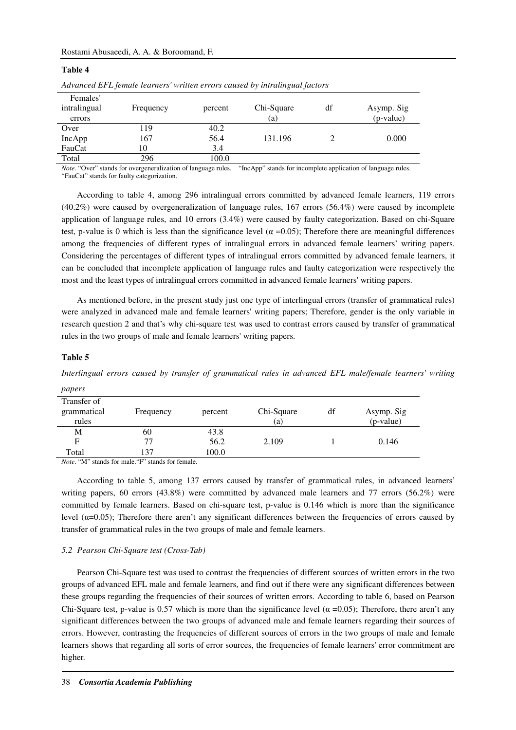### Rostami Abusaeedi, A. A. & Boroomand, F.

| The concert $\Box$ is proceed to an idea of the concert $\Box$ is the concertable of the concert particle is |           |         |            |    |            |  |
|--------------------------------------------------------------------------------------------------------------|-----------|---------|------------|----|------------|--|
| Females'                                                                                                     |           |         |            |    |            |  |
| intralingual                                                                                                 | Frequency | percent | Chi-Square | df | Asymp. Sig |  |
| errors                                                                                                       |           |         | (a)        |    | (p-value)  |  |
| Over                                                                                                         | 119       | 40.2    |            |    |            |  |
| IncApp                                                                                                       | 167       | 56.4    | 131.196    |    | 0.000      |  |
| FauCat                                                                                                       | 10        | 3.4     |            |    |            |  |
| Total                                                                                                        | 296       | 100.0   |            |    |            |  |

*Advanced EFL female learners' written errors caused by intralingual factors* 

*Note*. "Over" stands for overgeneralization of language rules. "IncApp" stands for incomplete application of language rules. "FauCat" stands for faulty categorization.

According to table 4, among 296 intralingual errors committed by advanced female learners, 119 errors (40.2%) were caused by overgeneralization of language rules, 167 errors (56.4%) were caused by incomplete application of language rules, and 10 errors (3.4%) were caused by faulty categorization. Based on chi-Square test, p-value is 0 which is less than the significance level ( $\alpha = 0.05$ ); Therefore there are meaningful differences among the frequencies of different types of intralingual errors in advanced female learners' writing papers. Considering the percentages of different types of intralingual errors committed by advanced female learners, it can be concluded that incomplete application of language rules and faulty categorization were respectively the most and the least types of intralingual errors committed in advanced female learners' writing papers.

As mentioned before, in the present study just one type of interlingual errors (transfer of grammatical rules) were analyzed in advanced male and female learners' writing papers; Therefore, gender is the only variable in research question 2 and that's why chi-square test was used to contrast errors caused by transfer of grammatical rules in the two groups of male and female learners' writing papers.

## **Table 5**

**Table 4** 

*Interlingual errors caused by transfer of grammatical rules in advanced EFL male/female learners' writing* 

| papers      |                                                                                                                                                                                                                                                                                                                   |         |            |    |            |
|-------------|-------------------------------------------------------------------------------------------------------------------------------------------------------------------------------------------------------------------------------------------------------------------------------------------------------------------|---------|------------|----|------------|
| Transfer of |                                                                                                                                                                                                                                                                                                                   |         |            |    |            |
| grammatical | Frequency                                                                                                                                                                                                                                                                                                         | percent | Chi-Square | df | Asymp. Sig |
| rules       |                                                                                                                                                                                                                                                                                                                   |         | (a)        |    | (p-value)  |
| М           | 60                                                                                                                                                                                                                                                                                                                | 43.8    |            |    |            |
| F           | 77                                                                                                                                                                                                                                                                                                                | 56.2    | 2.109      |    | 0.146      |
| Total       | 137                                                                                                                                                                                                                                                                                                               | 100.0   |            |    |            |
|             | $\mathcal{M}$ and $\mathcal{M}$ and $\mathcal{M}$ and $\mathcal{M}$ and $\mathcal{M}$ and $\mathcal{M}$ and $\mathcal{M}$ and $\mathcal{M}$ and $\mathcal{M}$ and $\mathcal{M}$ and $\mathcal{M}$ and $\mathcal{M}$ and $\mathcal{M}$ and $\mathcal{M}$ and $\mathcal{M}$ and $\mathcal{M}$ and $\mathcal{M}$ and |         |            |    |            |

*Note*. "M" stands for male."F" stands for female.

According to table 5, among 137 errors caused by transfer of grammatical rules, in advanced learners' writing papers, 60 errors (43.8%) were committed by advanced male learners and 77 errors (56.2%) were committed by female learners. Based on chi-square test, p-value is 0.146 which is more than the significance level (α=0.05); Therefore there aren't any significant differences between the frequencies of errors caused by transfer of grammatical rules in the two groups of male and female learners.

### *5.2 Pearson Chi-Square test (Cross-Tab)*

Pearson Chi-Square test was used to contrast the frequencies of different sources of written errors in the two groups of advanced EFL male and female learners, and find out if there were any significant differences between these groups regarding the frequencies of their sources of written errors. According to table 6, based on Pearson Chi-Square test, p-value is 0.57 which is more than the significance level ( $\alpha = 0.05$ ); Therefore, there aren't any significant differences between the two groups of advanced male and female learners regarding their sources of errors. However, contrasting the frequencies of different sources of errors in the two groups of male and female learners shows that regarding all sorts of error sources, the frequencies of female learners' error commitment are higher.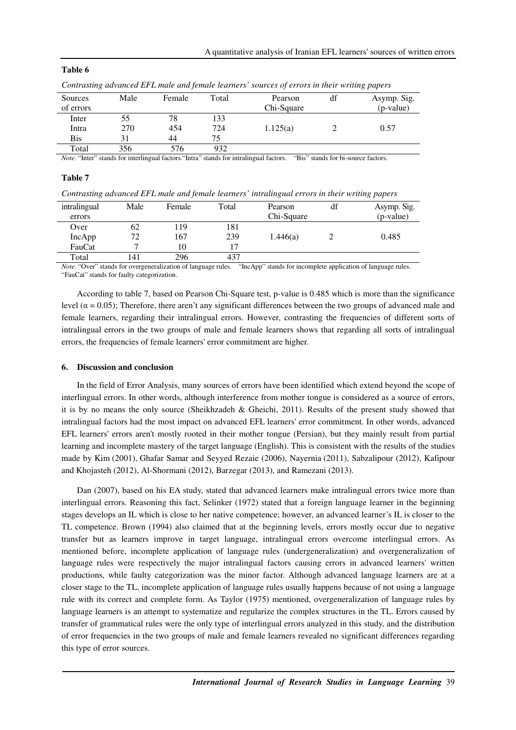| Table 6 |  |
|---------|--|
|---------|--|

|            | community was ancested as a mane and pensione realisers sounded of errors in men, mining papers |        |       |            |    |             |  |
|------------|-------------------------------------------------------------------------------------------------|--------|-------|------------|----|-------------|--|
| Sources    | Male                                                                                            | Female | Total | Pearson    | df | Asymp. Sig. |  |
| of errors  |                                                                                                 |        |       | Chi-Square |    | (p-value)   |  |
| Inter      | 55                                                                                              | 78     | 133   |            |    |             |  |
| Intra      | 270                                                                                             | 454    | 724   | 1.125(a)   |    | 0.57        |  |
| <b>Bis</b> |                                                                                                 | 44     | 75    |            |    |             |  |
| Total      | 356                                                                                             | 576    | 932   |            |    |             |  |

*Contrasting advanced EFL male and female learners' sources of errors in their writing papers*

*Note*. "Inter" stands for interlingual factors. "Intra" stands for intralingual factors. "Bis" stands for bi-source factors.

### **Table 7**

| Contrasting advanced EFL male and female learners' intralingual errors in their writing papers |  |  |
|------------------------------------------------------------------------------------------------|--|--|
|------------------------------------------------------------------------------------------------|--|--|

| intralingual | Male | Female | Total | Pearson    | df | Asymp. Sig. |
|--------------|------|--------|-------|------------|----|-------------|
| errors       |      |        |       | Chi-Square |    | (p-value)   |
| Over         | 62   | . 19   | 181   |            |    |             |
| IncApp       | 72   | 167    | 239   | 1.446(a)   |    | 0.485       |
| FauCat       |      | 10     | 17    |            |    |             |
| Total        | 141  | 296    | 437   |            |    |             |

*Note.* "Over" stands for overgeneralization of language rules. "IncApp" stands for incomplete application of language rules. "FauCat" stands for faulty categorization.

According to table 7, based on Pearson Chi-Square test, p-value is 0.485 which is more than the significance level ( $α = 0.05$ ); Therefore, there aren't any significant differences between the two groups of advanced male and female learners, regarding their intralingual errors. However, contrasting the frequencies of different sorts of intralingual errors in the two groups of male and female learners shows that regarding all sorts of intralingual errors, the frequencies of female learners' error commitment are higher.

#### **6. Discussion and conclusion**

In the field of Error Analysis, many sources of errors have been identified which extend beyond the scope of interlingual errors. In other words, although interference from mother tongue is considered as a source of errors, it is by no means the only source (Sheikhzadeh & Gheichi, 2011). Results of the present study showed that intralingual factors had the most impact on advanced EFL learners' error commitment. In other words, advanced EFL learners' errors aren't mostly rooted in their mother tongue (Persian), but they mainly result from partial learning and incomplete mastery of the target language (English). This is consistent with the results of the studies made by Kim (2001), Ghafar Samar and Seyyed Rezaie (2006), Nayernia (2011), Sabzalipour (2012), Kafipour and Khojasteh (2012), Al-Shormani (2012), Barzegar (2013), and Ramezani (2013).

Dan (2007), based on his EA study, stated that advanced learners make intralingual errors twice more than interlingual errors. Reasoning this fact, Selinker (1972) stated that a foreign language learner in the beginning stages develops an IL which is close to her native competence; however, an advanced learner's IL is closer to the TL competence. Brown (1994) also claimed that at the beginning levels, errors mostly occur due to negative transfer but as learners improve in target language, intralingual errors overcome interlingual errors. As mentioned before, incomplete application of language rules (undergeneralization) and overgeneralization of language rules were respectively the major intralingual factors causing errors in advanced learners' written productions, while faulty categorization was the minor factor. Although advanced language learners are at a closer stage to the TL, incomplete application of language rules usually happens because of not using a language rule with its correct and complete form. As Taylor (1975) mentioned, overgeneralization of language rules by language learners is an attempt to systematize and regularize the complex structures in the TL. Errors caused by transfer of grammatical rules were the only type of interlingual errors analyzed in this study, and the distribution of error frequencies in the two groups of male and female learners revealed no significant differences regarding this type of error sources.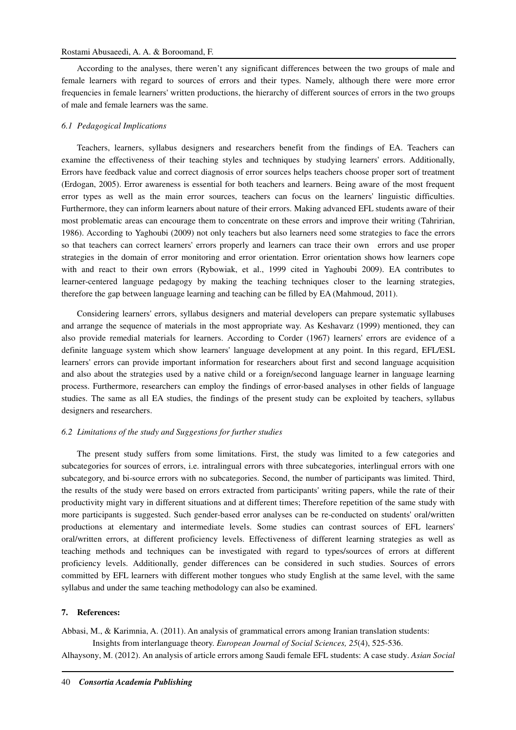### Rostami Abusaeedi, A. A. & Boroomand, F.

According to the analyses, there weren't any significant differences between the two groups of male and female learners with regard to sources of errors and their types. Namely, although there were more error frequencies in female learners' written productions, the hierarchy of different sources of errors in the two groups of male and female learners was the same.

### *6.1 Pedagogical Implications*

Teachers, learners, syllabus designers and researchers benefit from the findings of EA. Teachers can examine the effectiveness of their teaching styles and techniques by studying learners' errors. Additionally, Errors have feedback value and correct diagnosis of error sources helps teachers choose proper sort of treatment (Erdogan, 2005). Error awareness is essential for both teachers and learners. Being aware of the most frequent error types as well as the main error sources, teachers can focus on the learners' linguistic difficulties. Furthermore, they can inform learners about nature of their errors. Making advanced EFL students aware of their most problematic areas can encourage them to concentrate on these errors and improve their writing (Tahririan, 1986). According to Yaghoubi (2009) not only teachers but also learners need some strategies to face the errors so that teachers can correct learners' errors properly and learners can trace their own errors and use proper strategies in the domain of error monitoring and error orientation. Error orientation shows how learners cope with and react to their own errors (Rybowiak, et al., 1999 cited in Yaghoubi 2009). EA contributes to learner-centered language pedagogy by making the teaching techniques closer to the learning strategies, therefore the gap between language learning and teaching can be filled by EA (Mahmoud, 2011).

Considering learners' errors, syllabus designers and material developers can prepare systematic syllabuses and arrange the sequence of materials in the most appropriate way. As Keshavarz (1999) mentioned, they can also provide remedial materials for learners. According to Corder (1967) learners' errors are evidence of a definite language system which show learners' language development at any point. In this regard, EFL/ESL learners' errors can provide important information for researchers about first and second language acquisition and also about the strategies used by a native child or a foreign/second language learner in language learning process. Furthermore, researchers can employ the findings of error-based analyses in other fields of language studies. The same as all EA studies, the findings of the present study can be exploited by teachers, syllabus designers and researchers.

## *6.2 Limitations of the study and Suggestions for further studies*

The present study suffers from some limitations. First, the study was limited to a few categories and subcategories for sources of errors, i.e. intralingual errors with three subcategories, interlingual errors with one subcategory, and bi-source errors with no subcategories. Second, the number of participants was limited. Third, the results of the study were based on errors extracted from participants' writing papers, while the rate of their productivity might vary in different situations and at different times; Therefore repetition of the same study with more participants is suggested. Such gender-based error analyses can be re-conducted on students' oral/written productions at elementary and intermediate levels. Some studies can contrast sources of EFL learners' oral/written errors, at different proficiency levels. Effectiveness of different learning strategies as well as teaching methods and techniques can be investigated with regard to types/sources of errors at different proficiency levels. Additionally, gender differences can be considered in such studies. Sources of errors committed by EFL learners with different mother tongues who study English at the same level, with the same syllabus and under the same teaching methodology can also be examined.

## **7. References:**

Abbasi, M., & Karimnia, A. (2011). An analysis of grammatical errors among Iranian translation students:

Insights from interlanguage theory. *European Journal of Social Sciences, 25*(4), 525-536. Alhaysony, M. (2012). An analysis of article errors among Saudi female EFL students: A case study. *Asian Social*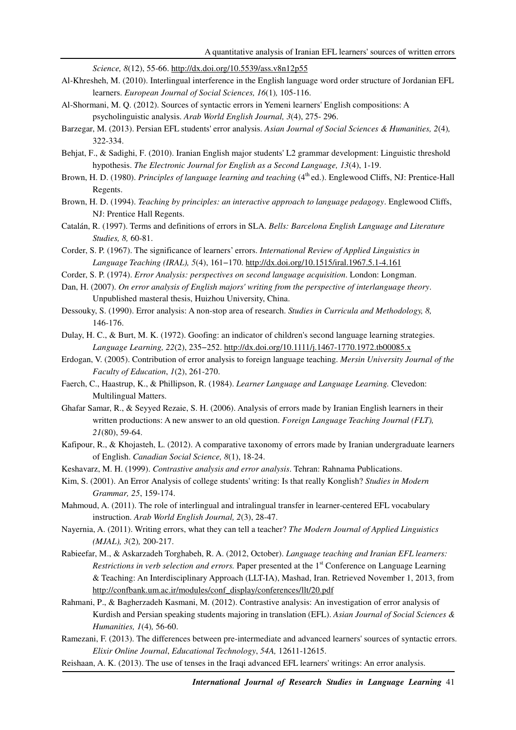*Science, 8*(12), 55-66. http://dx.doi.org/10.5539/ass.v8n12p55

- Al-Khresheh, M. (2010). Interlingual interference in the English language word order structure of Jordanian EFL learners. *European Journal of Social Sciences, 16*(1)*,* 105-116.
- Al-Shormani, M. Q. (2012). Sources of syntactic errors in Yemeni learners' English compositions: A psycholinguistic analysis. *Arab World English Journal, 3*(4), 275- 296.
- Barzegar, M. (2013). Persian EFL students' error analysis. *Asian Journal of Social Sciences & Humanities, 2*(4)*,* 322-334.
- Behjat, F., & Sadighi, F. (2010). Iranian English major students' L2 grammar development: Linguistic threshold hypothesis. *The Electronic Journal for English as a Second Language, 13*(4), 1-19.
- Brown, H. D. (1980). *Principles of language learning and teaching* (4<sup>th</sup> ed.). Englewood Cliffs, NJ: Prentice-Hall Regents.
- Brown, H. D. (1994). *Teaching by principles: an interactive approach to language pedagogy*. Englewood Cliffs, NJ: Prentice Hall Regents.
- Catalán, R. (1997). Terms and definitions of errors in SLA. *Bells: Barcelona English Language and Literature Studies, 8,* 60-81.
- Corder, S. P. (1967). The significance of learners' errors. *International Review of Applied Linguistics in Language Teaching (IRAL), 5*(4), 161−170. http://dx.doi.org/10.1515/iral.1967.5.1-4.161
- Corder, S. P. (1974). *Error Analysis: perspectives on second language acquisition*. London: Longman.
- Dan, H. (2007). *On error analysis of English majors' writing from the perspective of interlanguage theory*. Unpublished masteral thesis, Huizhou University, China.
- Dessouky, S. (1990). Error analysis: A non-stop area of research. *Studies in Curricula and Methodology, 8,*  146-176.
- Dulay, H. C., & Burt, M. K. (1972). Goofing: an indicator of children's second language learning strategies. *Language Learning, 22*(2), 235−252. http://dx.doi.org/10.1111/j.1467-1770.1972.tb00085.x
- Erdogan, V. (2005). Contribution of error analysis to foreign language teaching. *Mersin University Journal of the Faculty of Education*, *1*(2), 261-270.
- Faerch, C., Haastrup, K., & Phillipson, R. (1984). *Learner Language and Language Learning.* Clevedon: Multilingual Matters.
- Ghafar Samar, R., & Seyyed Rezaie, S. H. (2006). Analysis of errors made by Iranian English learners in their written productions: A new answer to an old question. *Foreign Language Teaching Journal (FLT), 21*(80), 59-64.
- Kafipour, R., & Khojasteh, L. (2012). A comparative taxonomy of errors made by Iranian undergraduate learners of English. *Canadian Social Science, 8*(1), 18-24.
- Keshavarz, M. H. (1999). *Contrastive analysis and error analysis*. Tehran: Rahnama Publications.
- Kim, S. (2001). An Error Analysis of college students' writing: Is that really Konglish? *Studies in Modern Grammar, 25*, 159-174.
- Mahmoud, A. (2011). The role of interlingual and intralingual transfer in learner-centered EFL vocabulary instruction. *Arab World English Journal, 2*(3), 28-47.
- Nayernia, A. (2011). Writing errors, what they can tell a teacher? *The Modern Journal of Applied Linguistics (MJAL), 3*(2)*,* 200-217.
- Rabieefar, M., & Askarzadeh Torghabeh, R. A. (2012, October). *Language teaching and Iranian EFL learners: Restrictions in verb selection and errors.* Paper presented at the 1<sup>st</sup> Conference on Language Learning & Teaching: An Interdisciplinary Approach (LLT-IA), Mashad, Iran. Retrieved November 1, 2013, from http://confbank.um.ac.ir/modules/conf\_display/conferences/llt/20.pdf
- Rahmani, P., & Bagherzadeh Kasmani, M. (2012). Contrastive analysis: An investigation of error analysis of Kurdish and Persian speaking students majoring in translation (EFL). *Asian Journal of Social Sciences & Humanities, 1*(4)*,* 56-60.
- Ramezani, F. (2013). The differences between pre-intermediate and advanced learners' sources of syntactic errors. *Elixir Online Journal*, *Educational Technology*, *54A,* 12611-12615.
- Reishaan, A. K. (2013). The use of tenses in the Iraqi advanced EFL learners' writings: An error analysis.